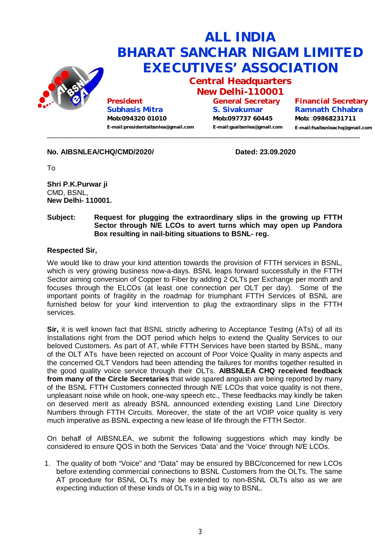

# **No. AIBSNLEA/CHQ/CMD/2020/ Dated: 23.09.2020**

To

**Shri P.K.Purwar ji** CMD, BSNL, **New Delhi- 110001.** 

# **Subject: Request for plugging the extraordinary slips in the growing up FTTH Sector through N/E LCOs to avert turns which may open up Pandora Box resulting in nail-biting situations to BSNL- reg.**

# **Respected Sir,**

We would like to draw your kind attention towards the provision of FTTH services in BSNL, which is very growing business now-a-days. BSNL leaps forward successfully in the FTTH Sector aiming conversion of Copper to Fiber by adding 2 OLTs per Exchange per month and focuses through the ELCOs (at least one connection per OLT per day). Some of the important points of fragility in the roadmap for triumphant FTTH Services of BSNL are furnished below for your kind intervention to plug the extraordinary slips in the FTTH services.

**Sir, it is well known fact that BSNL strictly adhering to Acceptance Testing (ATs) of all its** Installations right from the DOT period which helps to extend the Quality Services to our beloved Customers. As part of AT, while FTTH Services have been started by BSNL, many of the OLT ATs have been rejected on account of Poor Voice Quality in many aspects and the concerned OLT Vendors had been attending the failures for months together resulted in the good quality voice service through their OLTs. **AIBSNLEA CHQ received feedback from many of the Circle Secretaries** that wide spared anguish are being reported by many of the BSNL FTTH Customers connected through N/E LCOs that voice quality is not there, unpleasant noise while on hook, one-way speech etc., These feedbacks may kindly be taken on deserved merit as already BSNL announced extending existing Land Line Directory Numbers through FTTH Circuits. Moreover, the state of the art VOIP voice quality is very much imperative as BSNL expecting a new lease of life through the FTTH Sector.

On behalf of AIBSNLEA, we submit the following suggestions which may kindly be considered to ensure QOS in both the Services 'Data' and the 'Voice' through N/E LCOs.

1. The quality of both "Voice" and "Data" may be ensured by BBC/concerned for new LCOs before extending commercial connections to BSNL Customers from the OLTs. The same AT procedure for BSNL OLTs may be extended to non-BSNL OLTs also as we are expecting induction of these kinds of OLTs in a big way to BSNL.